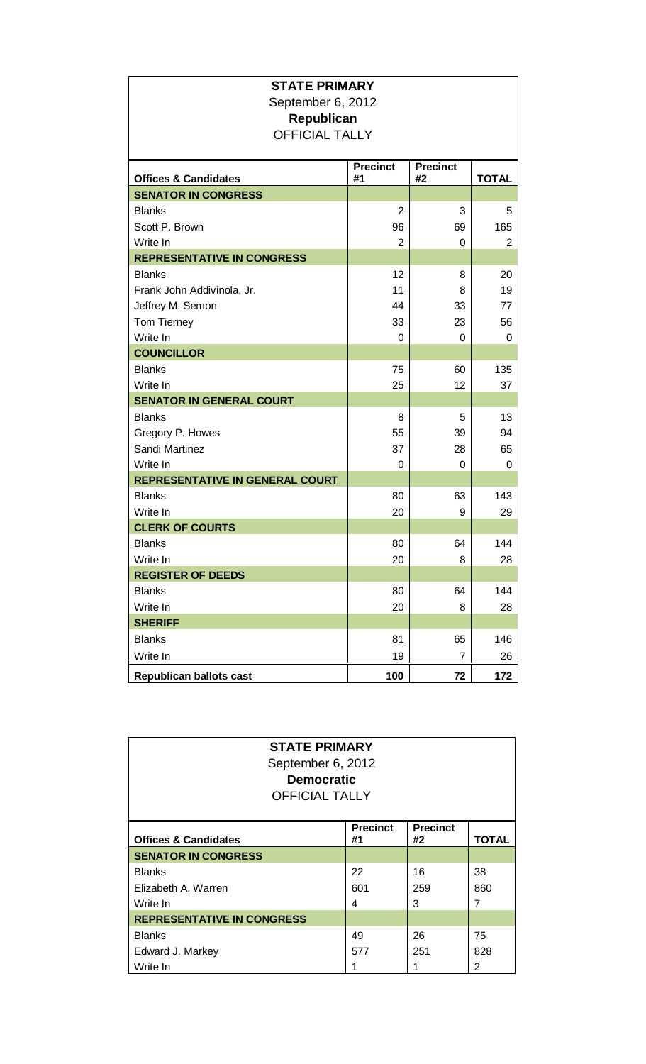| <b>STATE PRIMARY</b><br>September 6, 2012<br>Republican<br><b>OFFICIAL TALLY</b> |                       |                       |              |  |  |
|----------------------------------------------------------------------------------|-----------------------|-----------------------|--------------|--|--|
| <b>Offices &amp; Candidates</b>                                                  | <b>Precinct</b><br>#1 | <b>Precinct</b><br>#2 | <b>TOTAL</b> |  |  |
| <b>SENATOR IN CONGRESS</b>                                                       |                       |                       |              |  |  |
| <b>Blanks</b>                                                                    | $\overline{2}$        | 3                     | 5            |  |  |
| Scott P. Brown                                                                   | 96                    | 69                    | 165          |  |  |
| Write In                                                                         | $\overline{2}$        | 0                     | 2            |  |  |
| <b>REPRESENTATIVE IN CONGRESS</b>                                                |                       |                       |              |  |  |
| <b>Blanks</b>                                                                    | 12                    | 8                     | 20           |  |  |
| Frank John Addivinola, Jr.                                                       | 11                    | 8                     | 19           |  |  |
| Jeffrey M. Semon                                                                 | 44                    | 33                    | 77           |  |  |
| Tom Tierney                                                                      | 33                    | 23                    | 56           |  |  |
| Write In                                                                         | 0                     | 0                     | 0            |  |  |
| <b>COUNCILLOR</b>                                                                |                       |                       |              |  |  |
| <b>Blanks</b>                                                                    | 75                    | 60                    | 135          |  |  |
| Write In                                                                         | 25                    | 12                    | 37           |  |  |
| <b>SENATOR IN GENERAL COURT</b>                                                  |                       |                       |              |  |  |
| <b>Blanks</b>                                                                    | 8                     | 5                     | 13           |  |  |
| Gregory P. Howes                                                                 | 55                    | 39                    | 94           |  |  |
| Sandi Martinez                                                                   | 37                    | 28                    | 65           |  |  |
| Write In                                                                         | 0                     | 0                     | 0            |  |  |
| <b>REPRESENTATIVE IN GENERAL COURT</b>                                           |                       |                       |              |  |  |
| <b>Blanks</b>                                                                    | 80                    | 63                    | 143          |  |  |
| Write In                                                                         | 20                    | 9                     | 29           |  |  |
| <b>CLERK OF COURTS</b>                                                           |                       |                       |              |  |  |
| <b>Blanks</b>                                                                    | 80                    | 64                    | 144          |  |  |
| Write In                                                                         | 20                    | 8                     | 28           |  |  |
| <b>REGISTER OF DEEDS</b>                                                         |                       |                       |              |  |  |
| <b>Blanks</b><br>Write In                                                        | 80                    | 64                    | 144          |  |  |
| <b>SHERIFF</b>                                                                   | 20                    | 8                     | 28           |  |  |
|                                                                                  |                       |                       |              |  |  |
| <b>Blanks</b>                                                                    | 81                    | 65                    | 146          |  |  |
| Write In                                                                         | 19                    | 7                     | 26           |  |  |
| <b>Republican ballots cast</b>                                                   | 100                   | 72                    | 172          |  |  |

| <b>STATE PRIMARY</b><br>September 6, 2012<br><b>Democratic</b><br><b>OFFICIAL TALLY</b> |                       |                       |              |  |  |
|-----------------------------------------------------------------------------------------|-----------------------|-----------------------|--------------|--|--|
| <b>Offices &amp; Candidates</b>                                                         | <b>Precinct</b><br>#1 | <b>Precinct</b><br>#2 | <b>TOTAL</b> |  |  |
| <b>SENATOR IN CONGRESS</b>                                                              |                       |                       |              |  |  |
| <b>Blanks</b>                                                                           | 22                    | 16                    | 38           |  |  |
| Elizabeth A. Warren                                                                     | 601                   | 259                   | 860          |  |  |
| Write In                                                                                | 4                     | 3                     | 7            |  |  |
| <b>REPRESENTATIVE IN CONGRESS</b>                                                       |                       |                       |              |  |  |
| <b>Blanks</b>                                                                           | 49                    | 26                    | 75           |  |  |
| Edward J. Markey                                                                        | 577                   | 251                   | 828          |  |  |
| Write In                                                                                |                       |                       | 2            |  |  |